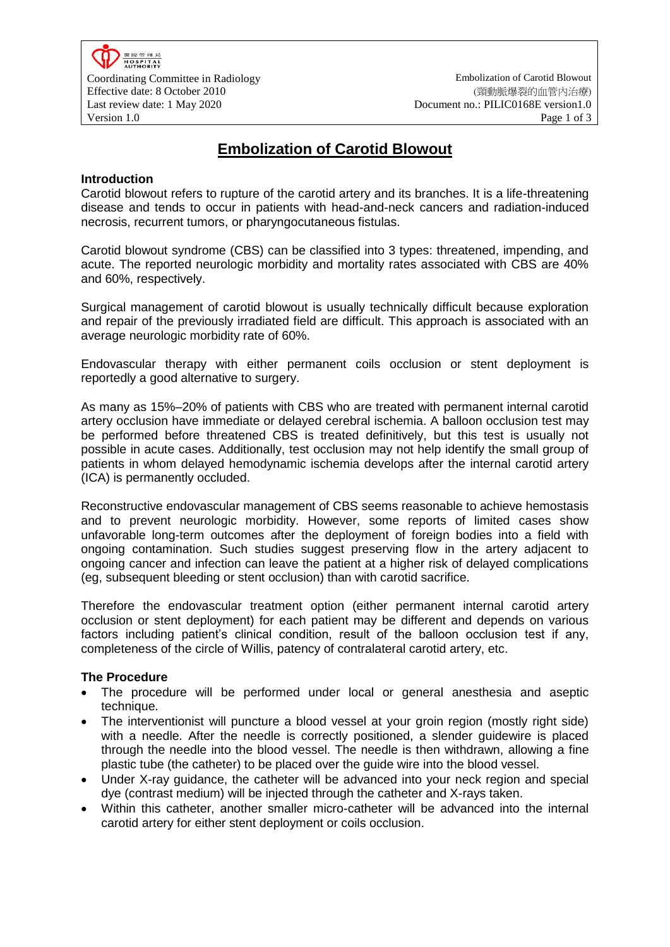

Coordinating Committee in Radiology Embolization of Carotid Blowout Effective date: 8 October 2010 Last review date: 1 May 2020

(頸動脈爆裂的血管內治療) Document no.: PILIC0168E version1.0 Version 1.0 **Page 1 of 3** 

# **Embolization of Carotid Blowout**

### **Introduction**

Carotid blowout refers to rupture of the carotid artery and its branches. It is a life-threatening disease and tends to occur in patients with head-and-neck cancers and radiation-induced necrosis, recurrent tumors, or pharyngocutaneous fistulas.

Carotid blowout syndrome (CBS) can be classified into 3 types: threatened, impending, and acute. The reported neurologic morbidity and mortality rates associated with CBS are 40% and 60%, respectively.

Surgical management of carotid blowout is usually technically difficult because exploration and repair of the previously irradiated field are difficult. This approach is associated with an average neurologic morbidity rate of 60%.

Endovascular therapy with either permanent coils occlusion or stent deployment is reportedly a good alternative to surgery.

As many as 15%–20% of patients with CBS who are treated with permanent internal carotid artery occlusion have immediate or delayed cerebral ischemia. A balloon occlusion test may be performed before threatened CBS is treated definitively, but this test is usually not possible in acute cases. Additionally, test occlusion may not help identify the small group of patients in whom delayed hemodynamic ischemia develops after the internal carotid artery (ICA) is permanently occluded.

Reconstructive endovascular management of CBS seems reasonable to achieve hemostasis and to prevent neurologic morbidity. However, some reports of limited cases show unfavorable long-term outcomes after the deployment of foreign bodies into a field with ongoing contamination. Such studies suggest preserving flow in the artery adjacent to ongoing cancer and infection can leave the patient at a higher risk of delayed complications (eg, subsequent bleeding or stent occlusion) than with carotid sacrifice.

Therefore the endovascular treatment option (either permanent internal carotid artery occlusion or stent deployment) for each patient may be different and depends on various factors including patient's clinical condition, result of the balloon occlusion test if any, completeness of the circle of Willis, patency of contralateral carotid artery, etc.

#### **The Procedure**

- The procedure will be performed under local or general anesthesia and aseptic technique.
- The interventionist will puncture a blood vessel at your groin region (mostly right side) with a needle. After the needle is correctly positioned, a slender guidewire is placed through the needle into the blood vessel. The needle is then withdrawn, allowing a fine plastic tube (the catheter) to be placed over the guide wire into the blood vessel.
- Under X-ray guidance, the catheter will be advanced into your neck region and special dye (contrast medium) will be injected through the catheter and X-rays taken.
- Within this catheter, another smaller micro-catheter will be advanced into the internal carotid artery for either stent deployment or coils occlusion.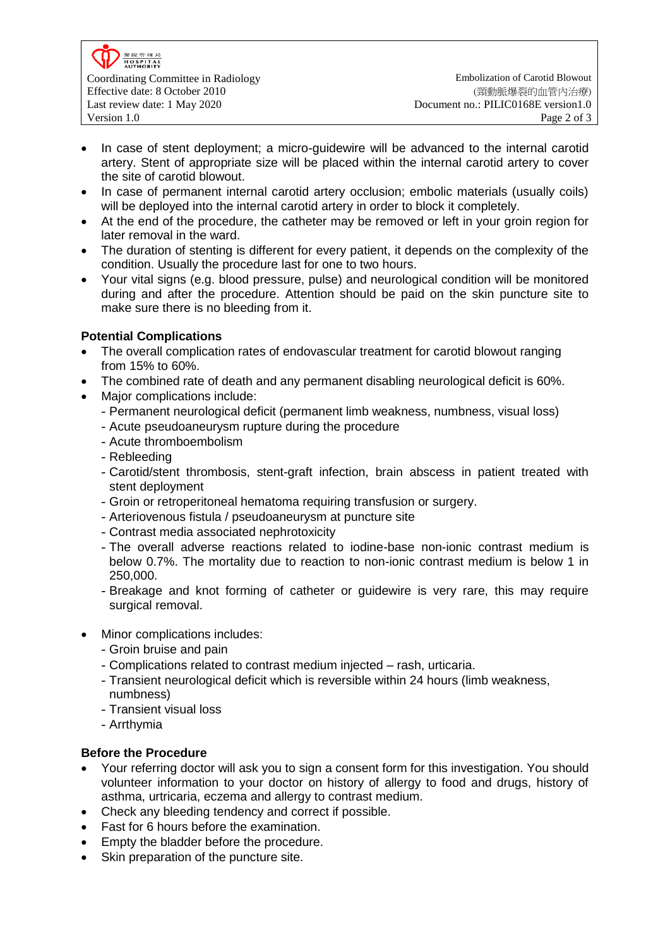

- In case of stent deployment; a micro-guidewire will be advanced to the internal carotid artery. Stent of appropriate size will be placed within the internal carotid artery to cover the site of carotid blowout.
- In case of permanent internal carotid artery occlusion; embolic materials (usually coils) will be deployed into the internal carotid artery in order to block it completely.
- At the end of the procedure, the catheter may be removed or left in your groin region for later removal in the ward.
- The duration of stenting is different for every patient, it depends on the complexity of the condition. Usually the procedure last for one to two hours.
- Your vital signs (e.g. blood pressure, pulse) and neurological condition will be monitored during and after the procedure. Attention should be paid on the skin puncture site to make sure there is no bleeding from it.

## **Potential Complications**

- The overall complication rates of endovascular treatment for carotid blowout ranging from 15% to 60%.
- The combined rate of death and any permanent disabling neurological deficit is 60%.
- Major complications include:
	- Permanent neurological deficit (permanent limb weakness, numbness, visual loss)
	- Acute pseudoaneurysm rupture during the procedure
	- Acute thromboembolism
	- Rebleeding
	- Carotid/stent thrombosis, stent-graft infection, brain abscess in patient treated with stent deployment
	- Groin or retroperitoneal hematoma requiring transfusion or surgery.
	- Arteriovenous fistula / pseudoaneurysm at puncture site
	- Contrast media associated nephrotoxicity
	- The overall adverse reactions related to iodine-base non-ionic contrast medium is below 0.7%. The mortality due to reaction to non-ionic contrast medium is below 1 in 250,000.
	- Breakage and knot forming of catheter or guidewire is very rare, this may require surgical removal.
- Minor complications includes:
	- Groin bruise and pain
	- Complications related to contrast medium injected rash, urticaria.
	- Transient neurological deficit which is reversible within 24 hours (limb weakness,
	- numbness)
	- Transient visual loss
	- Arrthymia

## **Before the Procedure**

- Your referring doctor will ask you to sign a consent form for this investigation. You should volunteer information to your doctor on history of allergy to food and drugs, history of asthma, urtricaria, eczema and allergy to contrast medium.
- Check any bleeding tendency and correct if possible.
- Fast for 6 hours before the examination.
- Empty the bladder before the procedure.
- Skin preparation of the puncture site.